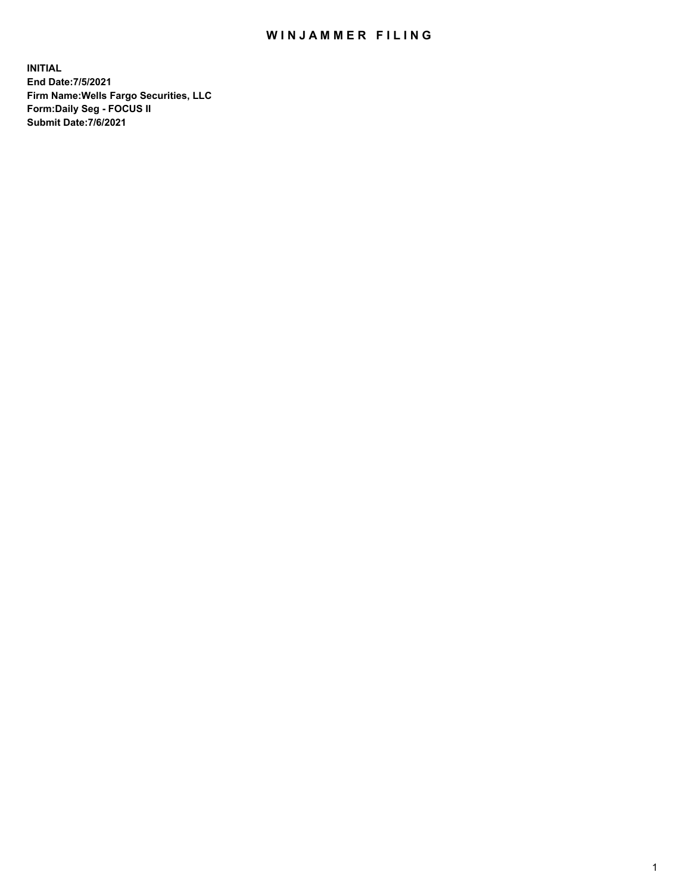## WIN JAMMER FILING

**INITIAL End Date:7/5/2021 Firm Name:Wells Fargo Securities, LLC Form:Daily Seg - FOCUS II Submit Date:7/6/2021**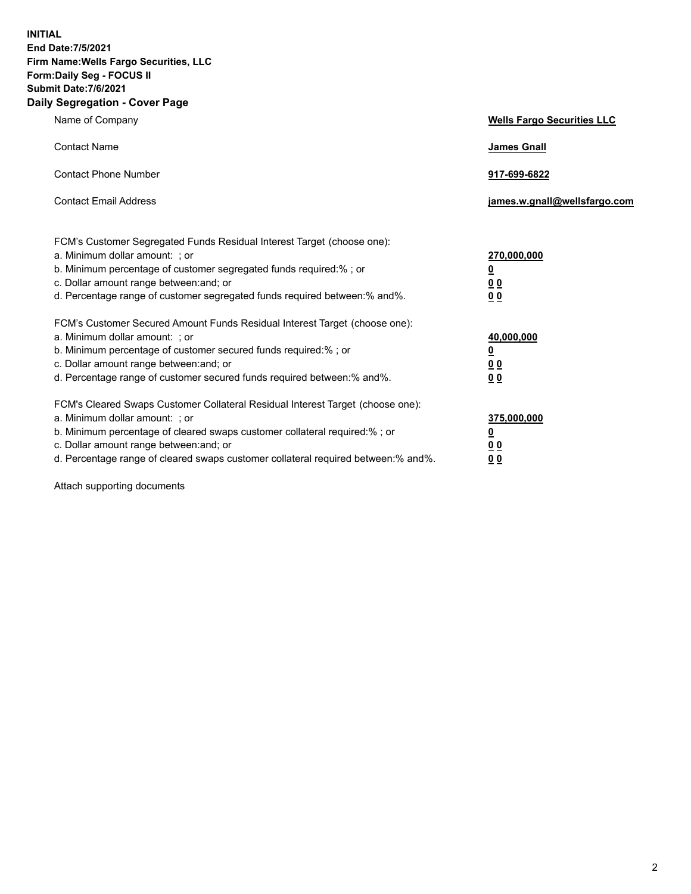**INITIAL End Date:7/5/2021 Firm Name:Wells Fargo Securities, LLC Form:Daily Seg - FOCUS II Submit Date:7/6/2021 Daily Segregation - Cover Page**

| Name of Company                                                                                                                                                                                                                                                                                                                | <b>Wells Fargo Securities LLC</b>                           |
|--------------------------------------------------------------------------------------------------------------------------------------------------------------------------------------------------------------------------------------------------------------------------------------------------------------------------------|-------------------------------------------------------------|
| <b>Contact Name</b>                                                                                                                                                                                                                                                                                                            | <b>James Gnall</b>                                          |
| <b>Contact Phone Number</b>                                                                                                                                                                                                                                                                                                    | 917-699-6822                                                |
| <b>Contact Email Address</b>                                                                                                                                                                                                                                                                                                   | james.w.gnall@wellsfargo.com                                |
| FCM's Customer Segregated Funds Residual Interest Target (choose one):<br>a. Minimum dollar amount: ; or<br>b. Minimum percentage of customer segregated funds required:% ; or<br>c. Dollar amount range between: and; or<br>d. Percentage range of customer segregated funds required between:% and%.                         | 270,000,000<br><u>0</u><br>0 <sub>0</sub><br>00             |
| FCM's Customer Secured Amount Funds Residual Interest Target (choose one):<br>a. Minimum dollar amount: ; or<br>b. Minimum percentage of customer secured funds required:% ; or<br>c. Dollar amount range between: and; or<br>d. Percentage range of customer secured funds required between:% and%.                           | 40,000,000<br><u>0</u><br><u>00</u><br>0 <sub>0</sub>       |
| FCM's Cleared Swaps Customer Collateral Residual Interest Target (choose one):<br>a. Minimum dollar amount: ; or<br>b. Minimum percentage of cleared swaps customer collateral required:% ; or<br>c. Dollar amount range between: and; or<br>d. Percentage range of cleared swaps customer collateral required between:% and%. | 375,000,000<br><u>0</u><br>0 <sub>0</sub><br>0 <sub>0</sub> |

Attach supporting documents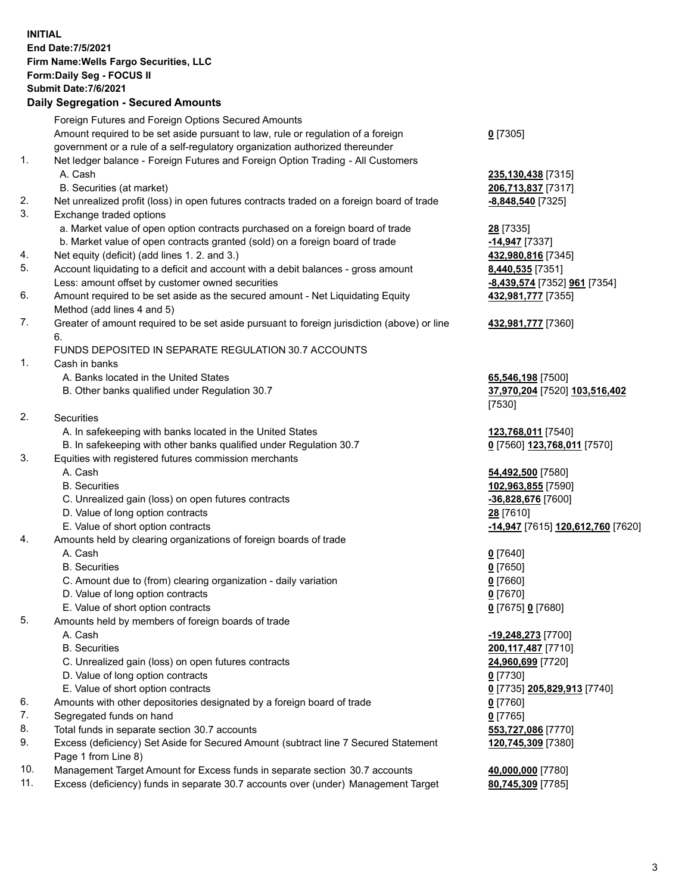**INITIAL End Date:7/5/2021 Firm Name:Wells Fargo Securities, LLC Form:Daily Seg - FOCUS II Submit Date:7/6/2021 Daily Segregation - Secured Amounts** Foreign Futures and Foreign Options Secured Amounts

Amount required to be set aside pursuant to law, rule or regulation of a foreign government or a rule of a self-regulatory organization authorized thereunder **0** [7305] 1. Net ledger balance - Foreign Futures and Foreign Option Trading - All Customers A. Cash **235,130,438** [7315] B. Securities (at market) **206,713,837** [7317] 2. Net unrealized profit (loss) in open futures contracts traded on a foreign board of trade **-8,848,540** [7325] 3. Exchange traded options a. Market value of open option contracts purchased on a foreign board of trade **28** [7335] b. Market value of open contracts granted (sold) on a foreign board of trade **-14,947** [7337] 4. Net equity (deficit) (add lines 1. 2. and 3.) **432,980,816** [7345] 5. Account liquidating to a deficit and account with a debit balances - gross amount **8,440,535** [7351] Less: amount offset by customer owned securities **-8,439,574** [7352] **961** [7354] 6. Amount required to be set aside as the secured amount - Net Liquidating Equity Method (add lines 4 and 5) **432,981,777** [7355] 7. Greater of amount required to be set aside pursuant to foreign jurisdiction (above) or line 6. **432,981,777** [7360] FUNDS DEPOSITED IN SEPARATE REGULATION 30.7 ACCOUNTS 1. Cash in banks A. Banks located in the United States **65,546,198** [7500] B. Other banks qualified under Regulation 30.7 **37,970,204** [7520] **103,516,402** [7530] 2. Securities A. In safekeeping with banks located in the United States **123,768,011** [7540] B. In safekeeping with other banks qualified under Regulation 30.7 **0** [7560] **123,768,011** [7570] 3. Equities with registered futures commission merchants A. Cash **54,492,500** [7580] B. Securities **102,963,855** [7590] C. Unrealized gain (loss) on open futures contracts **-36,828,676** [7600] D. Value of long option contracts **28** [7610] E. Value of short option contracts **-14,947** [7615] **120,612,760** [7620] 4. Amounts held by clearing organizations of foreign boards of trade A. Cash **0** [7640] B. Securities **0** [7650] C. Amount due to (from) clearing organization - daily variation **0** [7660] D. Value of long option contracts **0** [7670] E. Value of short option contracts **0** [7675] **0** [7680] 5. Amounts held by members of foreign boards of trade A. Cash **-19,248,273** [7700] B. Securities **200,117,487** [7710] C. Unrealized gain (loss) on open futures contracts **24,960,699** [7720] D. Value of long option contracts **0** [7730] E. Value of short option contracts **0** [7735] **205,829,913** [7740] 6. Amounts with other depositories designated by a foreign board of trade **0** [7760] 7. Segregated funds on hand **0** [7765] 8. Total funds in separate section 30.7 accounts **553,727,086** [7770] 9. Excess (deficiency) Set Aside for Secured Amount (subtract line 7 Secured Statement Page 1 from Line 8) **120,745,309** [7380] 10. Management Target Amount for Excess funds in separate section 30.7 accounts **40,000,000** [7780]

11. Excess (deficiency) funds in separate 30.7 accounts over (under) Management Target **80,745,309** [7785]

3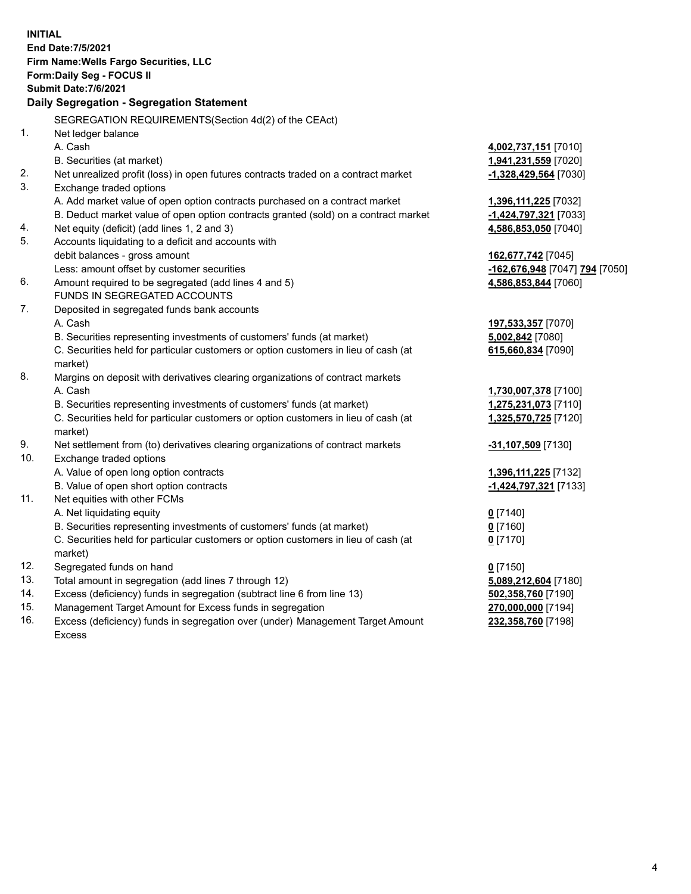|     | <b>INITIAL</b><br>End Date: 7/5/2021<br>Firm Name: Wells Fargo Securities, LLC<br>Form: Daily Seg - FOCUS II<br>Submit Date: 7/6/2021<br>Daily Segregation - Segregation Statement |                                |
|-----|------------------------------------------------------------------------------------------------------------------------------------------------------------------------------------|--------------------------------|
|     | SEGREGATION REQUIREMENTS(Section 4d(2) of the CEAct)                                                                                                                               |                                |
| 1.  | Net ledger balance                                                                                                                                                                 |                                |
|     | A. Cash                                                                                                                                                                            | 4,002,737,151 [7010]           |
|     | B. Securities (at market)                                                                                                                                                          | 1,941,231,559 [7020]           |
| 2.  | Net unrealized profit (loss) in open futures contracts traded on a contract market                                                                                                 | -1,328,429,564 [7030]          |
| 3.  | Exchange traded options                                                                                                                                                            |                                |
|     | A. Add market value of open option contracts purchased on a contract market                                                                                                        | 1,396,111,225 [7032]           |
|     | B. Deduct market value of open option contracts granted (sold) on a contract market                                                                                                | -1,424,797,321 [7033]          |
| 4.  | Net equity (deficit) (add lines 1, 2 and 3)                                                                                                                                        | 4,586,853,050 [7040]           |
| 5.  | Accounts liquidating to a deficit and accounts with                                                                                                                                |                                |
|     | debit balances - gross amount                                                                                                                                                      | 162,677,742 [7045]             |
|     | Less: amount offset by customer securities                                                                                                                                         | -162,676,948 [7047] 794 [7050] |
| 6.  | Amount required to be segregated (add lines 4 and 5)                                                                                                                               | 4,586,853,844 [7060]           |
|     | FUNDS IN SEGREGATED ACCOUNTS                                                                                                                                                       |                                |
| 7.  | Deposited in segregated funds bank accounts                                                                                                                                        |                                |
|     | A. Cash                                                                                                                                                                            | 197,533,357 [7070]             |
|     | B. Securities representing investments of customers' funds (at market)                                                                                                             | 5,002,842 [7080]               |
|     | C. Securities held for particular customers or option customers in lieu of cash (at<br>market)                                                                                     | 615,660,834 [7090]             |
| 8.  | Margins on deposit with derivatives clearing organizations of contract markets                                                                                                     |                                |
|     | A. Cash                                                                                                                                                                            | 1,730,007,378 [7100]           |
|     | B. Securities representing investments of customers' funds (at market)                                                                                                             | 1,275,231,073 [7110]           |
|     | C. Securities held for particular customers or option customers in lieu of cash (at<br>market)                                                                                     | 1,325,570,725 [7120]           |
| 9.  | Net settlement from (to) derivatives clearing organizations of contract markets                                                                                                    | -31,107,509 [7130]             |
| 10. | Exchange traded options                                                                                                                                                            |                                |
|     | A. Value of open long option contracts                                                                                                                                             | 1,396,111,225 [7132]           |
|     | B. Value of open short option contracts                                                                                                                                            | -1,424,797,321 [7133]          |
| 11. | Net equities with other FCMs                                                                                                                                                       |                                |
|     | A. Net liquidating equity                                                                                                                                                          | $0$ [7140]                     |
|     | B. Securities representing investments of customers' funds (at market)                                                                                                             | $0$ [7160]                     |
|     | C. Securities held for particular customers or option customers in lieu of cash (at                                                                                                | $0$ [7170]                     |
|     | market)                                                                                                                                                                            |                                |
| 12. | Segregated funds on hand                                                                                                                                                           | $0$ [7150]                     |
| 13. | Total amount in segregation (add lines 7 through 12)                                                                                                                               | 5,089,212,604 [7180]           |
| 14. | Excess (deficiency) funds in segregation (subtract line 6 from line 13)                                                                                                            | 502,358,760 [7190]             |
| 15. | Management Target Amount for Excess funds in segregation                                                                                                                           | 270,000,000 [7194]             |
| 16. | Excess (deficiency) funds in segregation over (under) Management Target Amount                                                                                                     | 232,358,760 [7198]             |
|     | Excess                                                                                                                                                                             |                                |